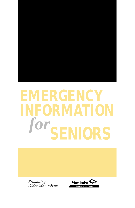# **EMERGENCY INFORMATION**  $for$ **SENIORS**

*Promoting Older Manitobans*

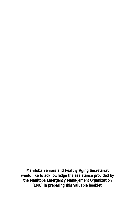**Manitoba Seniors and Healthy Aging Secretariat would like to acknowledge the assistance provided by the Manitoba Emergency Management Organization (EMO) in preparing this valuable booklet.**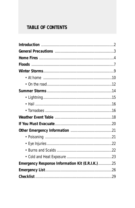# **TABLE OF CONTENTS**

| Emergency Response Information Kit (E.R.I.K.)25 |  |
|-------------------------------------------------|--|
|                                                 |  |
|                                                 |  |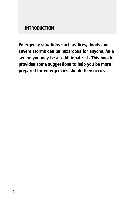**INTRODUCTION**

*Emergency situations such as fires, floods and severe storms can be hazardous for anyone. As a senior, you may be at additional risk. This booklet provides some suggestions to help you be more prepared for emergencies should they occur.*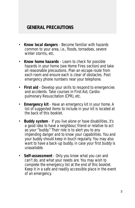## **GENERAL PRECAUTIONS**

- **Know local dangers** Become familiar with hazards common to your area, i.e., floods, tornadoes, severe winter storms, etc.
- **Know home hazards**  Learn to check for possible hazards in your home (see Home Fires section) and take all reasonable precautions. Plan an escape route from each room and ensure each is clear of obstacles. Post emergency phone numbers near your telephone.
- **First aid**  Develop your skills to respond to emergencies and accidents. Take courses in First Aid, Cardiopulmonary Resuscitation (CPR), etc.
- **Emergency kit** Have an emergency kit in your home. A list of suggested items to include in your kit is located at the back of this booklet.
- **Buddy system** If you live alone or have disabilities, it's a good idea to have a neighbour, friend or relative to act as your "buddy." Their role is to alert you to any impending danger and to know your capabilities. You and your buddy should keep in touch regularly. You may also want to have a back-up buddy, in case your first buddy is unavailable.
- **Self-assessment** Only you know what you can and can't do, and what your needs are. You may wish to complete the emergency list at the end of this booklet. Keep it in a safe and readily accessible place in the event of an emergency.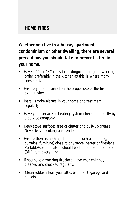## **HOME FIRES**

# *Whether you live in a house, apartment, condominium or other dwelling, there are several precautions you should take to prevent a fire in your home.*

- Have a 10 lb. ABC class fire extinguisher in good working order, preferably in the kitchen as this is where many fires start.
- Ensure you are trained on the proper use of the fire extinguisher.
- Install smoke alarms in your home and test them regularly.
- Have your furnace or heating system checked annually by a service company.
- Keep stove surfaces free of clutter and built-up grease. Never leave cooking unattended.
- Ensure there is nothing flammable (such as clothing, curtains, furniture) close to any stove, heater or fireplace. Portable/space heaters should be kept at least one meter (3ft.) from everything.
- If you have a working fireplace, have your chimney cleaned and checked regularly.
- Clean rubbish from your attic, basement, garage and closets.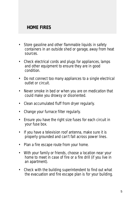## **HOME FIRES**

- Store gasoline and other flammable liquids in safety containers in an outside shed or garage, away from heat sources.
- Check electrical cords and plugs for appliances, lamps and other equipment to ensure they are in good condition.
- Do not connect too many appliances to a single electrical outlet or circuit.
- Never smoke in bed or when you are on medication that could make you drowsy or disoriented.
- Clean accumulated fluff from dryer regularly.
- Change your furnace filter regularly.
- Ensure you have the right size fuses for each circuit in your fuse box.
- If you have a television roof antenna, make sure it is properly grounded and can't fall across power lines.
- Plan a fire escape route from your home.
- With your family or friends, choose a location near your home to meet in case of fire or a fire drill (if you live in an apartment).
- Check with the building superintendent to find out what the evacuation and fire escape plan is for your building.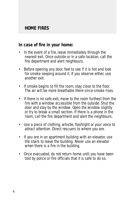## **HOME FIRES**

#### *In case of fire in your home:*

- In the event of a fire, leave immediately through the nearest exit. Once outside or in a safe location, call the fire department and alert neighbours.
- Before opening any door, feel to see if it is hot and look for smoke seeping around it. If you observe either, use another exit.
- If smoke begins to fill the room, stay close to the floor. The air will be more breathable there since smoke rises.
- If there is no safe exit, move to the room furthest from the fire with a window accessible from the outside. Shut the door and stay by the window. Open the window slightly or try to break a small section. If there is a phone in the room, call the fire department and alert the neighbours.
- Use a piece of clothing, whistle, flashlight or your voice to attract attention. Direct rescuers to where you are.
- If you are in an apartment building with an elevator, use the stairs to leave the building. Never use an elevator when there is a fire in the building.
- Once evacuated, do not return home until you have been told by police or fire officials that it is safe to do so.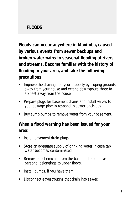# **FLOODS**

*Floods can occur anywhere in Manitoba, caused by various events from sewer backups and broken watermains to seasonal flooding of rivers and streams. Become familiar with the history of flooding in your area, and take the following precautions:* 

- Improve the drainage on your property by sloping grounds away from your house and extend downspouts three to six feet away from the house.
- Prepare plugs for basement drains and install valves to your sewage pipe to respond to sewer back-ups.
- Buy sump pumps to remove water from your basement.

## *When a flood warning has been issued for your area:*

- Install basement drain plugs.
- Store an adequate supply of drinking water in case tap water becomes contaminated.
- Remove all chemicals from the basement and move personal belongings to upper floors.
- Install pumps, if you have them.
- Disconnect eavestroughs that drain into sewer.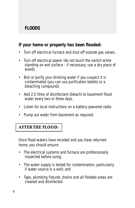# **FLOODS**

## *If your home or property has been flooded:*

- Turn off electrical furnace and shut off outside gas valves.
- Turn off electrical power (do not touch the switch while standing on wet surface - if necessary, use a dry piece of wood).
- Boil or purify your drinking water if you suspect it is contaminated (you can use purification tablets or a bleaching compound).
- Add 2.5 litres of disinfectant (bleach) to basement flood water every two or three days.
- Listen for local instructions on a battery-powered radio.
- Pump out water from basement as required.

**AFTER THE FLOOD:**

Once flood waters have receded and you have returned home, you should ensure:

- The electrical systems and furnace are professionally inspected before using;
- The water supply is tested for contamination, particularly if water source is a well; and
- Taps, plumbing fixtures, drains and all flooded areas are cleaned and disinfected.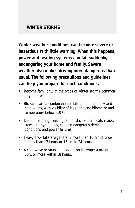*Winter weather conditions can become severe or hazardous with little warning. When this happens, power and heating systems can fail suddenly, endangering your home and family. Severe weather also makes driving more dangerous than usual. The following precautions and guidelines can help you prepare for such conditions.*

- Become familiar with the types of winter storms common in your area.
- Blizzards are a combination of falling, drifting snow and high winds, with visibility of less than one kilometre and temperature below -10°C.
- Ice storms bring freezing rain or drizzle that coats roads, trees and hydro lines, causing dangerous driving conditions and power failures.
- Heavy snowfalls are generally more than 10 cm of snow in less than 12 hours or 15 cm in 24 hours.
- A cold wave or snap is a rapid drop in temperature of 25°C or more within 18 hours.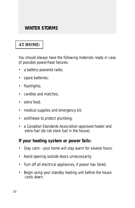# **AT HOME:**

You should always have the following materials ready in case of possible power/heat failures:

- a battery-powered radio;
- spare batteries;
- flashlights;
- candles and matches;
- extra food:
- medical supplies and emergency kit;
- antifreeze to protect plumbing;
- a Canadian Standards Association-approved heater and extra fuel (do not store fuel in the house).

#### *If your heating system or power fails:*

- Stay calm your home will stay warm for several hours.
- Avoid opening outside doors unnecessarily.
- Turn off all electrical appliances, if power has failed.
- Begin using your standby heating unit before the house cools down.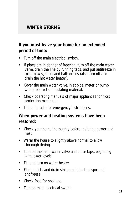## *If you must leave your home for an extended period of time:*

- Turn off the main electrical switch.
- If pipes are in danger of freezing, turn off the main water valve, drain the line by running taps, and put antifreeze in toilet bowls, sinks and bath drains (also turn off and drain the hot water heater).
- Cover the main water valve, inlet pipe, meter or pump with a blanket or insulating material.
- Check operating manuals of major appliances for frost protection measures.
- Listen to radio for emergency instructions.

#### *When power and heating systems have been restored:*

- Check your home thoroughly before restoring power and heat.
- Warm the house to slightly above normal to allow thorough drying.
- Turn on the main water valve and close taps, beginning with lower levels.
- Fill and turn on water heater.
- Flush toilets and drain sinks and tubs to dispose of antifreeze.
- Check food for spoilage.
- Turn on main electrical switch.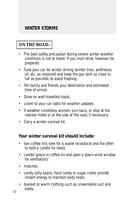## **ON THE ROAD:**

- The best safety precaution during severe winter weather conditions is not to travel. If you must drive, however, be prepared.
- Tune your car for winter driving (winter tires, antifreeze, oil, etc. as required) and keep the gas tank as close to full as possible, to avoid freezing.
- Tell family and friends your destination and estimated time of arrival.
- Drive on well-travelled roads.
- Listen to your car radio for weather updates.
- If weather conditions worsen, turn back, or stop at the nearest motel or at the side of the road, if necessary.
- Carry a winter survival kit.

#### *Your winter survival kit should include:*

- two coffee tins (one for a waste receptacle and the other to hold a candle for heat);
- candle (place in coffee tin and open a down-wind window for ventilation);
- matches:
- candy (jelly beans, hard candy or sugar cubes provide instant energy to maintain body heat);
- blanket or warm clothing such as snowmobile suit and  $\frac{1}{2}$  boots;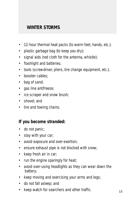- 12-hour thermal heat packs (to warm feet, hands, etc.);
- plastic garbage bag (to keep you dry);
- signal aids (red cloth for the antenna, whistle);
- flashlight and batteries;
- tools (screwdriver, pliers, tire change equipment, etc.);
- booster cables:
- bag of sand;
- gas line antifreeze;
- ice scraper and snow brush;
- shovel; and
- tire and towing chains.

## *If you become stranded:*

- do not panic;
- stay with your car;
- avoid exposure and over-exertion;
- ensure exhaust pipe is not blocked with snow;
- keep fresh air in car;
- run the engine sparingly for heat;
- avoid over-using headlights as they can wear down the battery;
- keep moving and exercising your arms and legs;
- do not fall asleep; and
- keep watch for searchers and other traffic.  $13$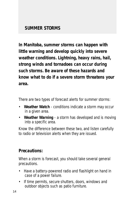*In Manitoba, summer storms can happen with little warning and develop quickly into severe weather conditions. Lightning, heavy rains, hail, strong winds and tornadoes can occur during such storms. Be aware of these hazards and know what to do if a severe storm threatens your area.*

There are two types of forecast alerts for summer storms:

- **Weather Watch** conditions indicate a storm may occur in a given area.
- **Weather Warning** a storm has developed and is moving into a specific area.

Know the difference between these two, and listen carefully to radio or television alerts when they are issued.

## *Precautions:*

When a storm is forecast, you should take several general precautions.

- Have a battery-powered radio and flashlight on hand in case of a power failure.
- If time permits, secure shutters, doors, windows and outdoor objects such as patio furniture.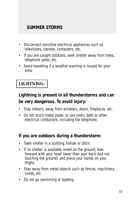- Disconnect sensitive electrical appliances such as televisions, stereos, computers, etc.
- If you are caught outdoors, seek shelter away from trees, telephone poles, etc.
- Avoid travelling if a weather warning is issued for your area.

# **LIGHTNING:**

# *Lightning is present in all thunderstorms and can be very dangerous. To avoid injury:*

- Stay indoors, away from windows, doors, fireplaces, etc.
- Do not touch metal pipes, or use sinks, bath or other electrical conductors, including the telephone.

## *If you are outdoors during a thunderstorm:*

- Seek shelter in a building, hollow or ditch.
- If no shelter is available, kneel on the ground, lean forward with your head lower than your back (but not touching the ground), and place your hands on your thighs.
- Stay away from metal objects such as fences, machinery, sheds, etc.
- Do not go swimming or boating.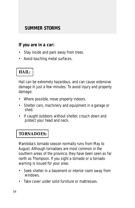#### *If you are in a car:*

- Stay inside and park away from trees.
- Avoid touching metal surfaces.

# **HAIL:**

Hail can be extremely hazardous, and can cause extensive damage in just a few minutes. To avoid injury and property damage:

- Where possible, move property indoors.
- Shelter cars, machinery and equipment in a garage or shed.
- If caught outdoors without shelter, crouch down and protect your head and neck.

## **TORNADOES:**

Manitoba's tornado season normally runs from May to August. Although tornadoes are most common in the southern areas of the province, they have been seen as far north as Thompson. If you sight a tornado or a tornado warning is issued for your area:

- Seek shelter in a basement or interior room away from windows.
- Take cover under solid furniture or mattresses.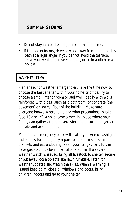- Do not stay in a parked car, truck or mobile home.
- If trapped outdoors, drive or walk away from the tornado's path at a right angle. If you cannot avoid the tornado, leave your vehicle and seek shelter, or lie in a ditch or a hollow.

## **SAFETY TIPS**

Plan ahead for weather emergencies. Take the time now to choose the best shelter within your home or office. Try to choose a small interior room or stairwell, ideally with walls reinforced with pipes (such as a bathroom) or concrete (the basement) on lowest floor of the building. Make sure everyone knows where to go and what precautions to take (see 18 and 19). Also, choose a meeting place where your family can gather after a severe storm to ensure that you are all safe and accounted for.

Maintain an emergency pack with battery powered flashlight, radio, tools for emergency repair, food supplies, first aid, blankets and extra clothing. Keep your car gas tank full, in case gas stations close down after a storm. If a severe weather watch is issued, bring all livestock to shelter, secure or put away loose objects like lawn furniture, listen for weather updates and watch the skies. When a warning is issued keep calm, close all windows and doors, bring children indoors and go to your shelter.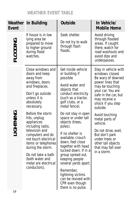# **WEATHER EVENT TABLE**

| Event            | <b>Weather In Building</b>                                                                                                                                                                                                                                                                                                                                                                                             | <b>Outside</b>                                                                                                                                                                                                                                                                                                                                                                                                                                                                                                                  | In Vehicle/<br><b>Mobile Home</b>                                                                                                                                                                                                                                                                                                                                        |
|------------------|------------------------------------------------------------------------------------------------------------------------------------------------------------------------------------------------------------------------------------------------------------------------------------------------------------------------------------------------------------------------------------------------------------------------|---------------------------------------------------------------------------------------------------------------------------------------------------------------------------------------------------------------------------------------------------------------------------------------------------------------------------------------------------------------------------------------------------------------------------------------------------------------------------------------------------------------------------------|--------------------------------------------------------------------------------------------------------------------------------------------------------------------------------------------------------------------------------------------------------------------------------------------------------------------------------------------------------------------------|
| <b>FLOODING</b>  | If house is in low<br>lying area be<br>prepared to move<br>to higher ground<br>during flood<br>watches.                                                                                                                                                                                                                                                                                                                | Seek shelter.<br>Do not try to walk<br>through flash<br>floods.                                                                                                                                                                                                                                                                                                                                                                                                                                                                 | Avoid driving<br>through flooded<br>areas. If caught<br>there, watch for<br>road washouts and<br>avoid dips and<br>underpasses.                                                                                                                                                                                                                                          |
| <b>LIGHTNING</b> | Close windows and<br>doors and keep<br>away from<br>windows, doors<br>and fireplaces.<br>Don't go outside<br>unless it is<br>absolutely<br>necessary.<br>Before the storm<br>hits, unplug<br>appliances<br>including radio,<br>television and<br>computers and do<br>not touch electrical<br>items or telephones<br>during the storm.<br>Do not take a bath<br>(both water and<br>metal are electrical<br>conductors). | Get inside vehicle<br>or building if<br>possible.<br>Avoid water and<br>objects that<br>conduct electricity<br>(such as a tractor,<br>golf clubs, or a<br>metal fence).<br>Do not stay in open<br>space or under tall<br>objects (trees,<br>poles).<br>If no shelter is<br>available, crouch<br>down, feet close<br>together with head<br>tucked down. If in a<br>group spread out,<br>keeping people<br>several yards apart.<br>Remember,<br>lightning victims<br>can be revived with<br>CPR even though<br>there is no pulse. | Stay in vehicle with<br>windows closed.<br>Be wary of downed<br>power lines that<br>may be touching<br>your car. You are<br>safe in the car, but<br>may receive a<br>shock if you step<br>outside.<br>Avoid touching<br>metal parts of<br>vehicle.<br>Do not drive, wait.<br>But don't park<br>under trees or<br>other tall objects<br>that may fall over<br>in a storm. |
| 18               |                                                                                                                                                                                                                                                                                                                                                                                                                        |                                                                                                                                                                                                                                                                                                                                                                                                                                                                                                                                 |                                                                                                                                                                                                                                                                                                                                                                          |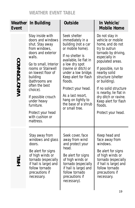# **WEATHER EVENT TABLE**

| Event        | <b>Weather In Building</b>                                                                                                                                                                                                                                                                                                                         | <b>Outside</b>                                                                                                                                                                                                                                                                                                                          | In Vehicle/<br><b>Mobile Home</b>                                                                                                                                                                                                                                                                                                                      |
|--------------|----------------------------------------------------------------------------------------------------------------------------------------------------------------------------------------------------------------------------------------------------------------------------------------------------------------------------------------------------|-----------------------------------------------------------------------------------------------------------------------------------------------------------------------------------------------------------------------------------------------------------------------------------------------------------------------------------------|--------------------------------------------------------------------------------------------------------------------------------------------------------------------------------------------------------------------------------------------------------------------------------------------------------------------------------------------------------|
| WIND/TORNADO | Stay inside with<br>doors and windows<br>shut. Stay away<br>from windows,<br>doors and exterior<br>walls.<br>Go to small, Interior<br>rooms or Stairwell<br>on lowest floor of<br>building<br>(bathrooms are<br>often the best<br>choice).<br>If possible crouch<br>under heavy<br>furniture.<br>Protect your head<br>with cushion or<br>mattress. | Seek shelter<br>immediately in a<br>building (not a car<br>or mobile home).<br>If no shelter is<br>available, lie flat in<br>a low dry spot<br>(ravine or ditch) or<br>under a low bridge.<br>Keep alert for flash<br>floods.<br>Protect your head.<br>As a last resort,<br>hang on tightly to<br>the base of a shrub<br>or small tree. | Do not stay in<br>vehicle or mobile<br>home, and do not<br>try to outrun<br>tornado by driving,<br>especially in<br>populated areas.<br>If possible, run to<br>nearby solid<br>structure (shelter<br>or building).<br>If no solid structure<br>is nearby, lie flat in<br>dry ditch or ravine.<br>Keep alert for flash<br>floods.<br>Protect your head. |
| —<br>F<br>F  | Stay away from<br>windows and glass<br>doors.<br>Be alert for signs<br>of high winds or<br>tornado (especially<br>if hail is large) and<br>follow tornado<br>precautions if<br>necessary.                                                                                                                                                          | Seek cover, face<br>away from wind<br>and protect your<br>head.<br>Be alert for signs<br>of high winds or<br>tornado (especially<br>if hail is large) and<br>follow tornado<br>precautions if<br>necessary).                                                                                                                            | Keep head and<br>face away from<br>windows.<br>Be alert for signs<br>of high winds or<br>tornado (especially<br>if hail is large) and<br>follow tornado<br>precautions if<br>necessary.                                                                                                                                                                |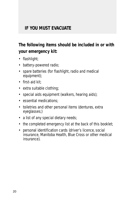# **IF YOU MUST EVACUATE**

# *The following items should be included in or with your emergency kit:*

- flashlight;
- battery-powered radio;
- spare batteries (for flashlight, radio and medical equipment);
- first-aid kit;
- extra suitable clothing;
- special aids equipment (walkers, hearing aids);
- essential medications;
- toiletries and other personal items (dentures, extra eyeglasses;)
- a list of any special dietary needs;
- the completed emergency list at the back of this booklet;
- personal identification cards (driver's licence, social insurance, Manitoba Health, Blue Cross or other medical insurance).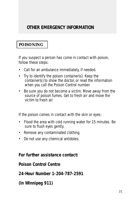## **POISONING**

If you suspect a person has come in contact with poison, follow these steps:

- Call for an ambulance immediately, if needed.
- Try to identify the poison container(s). Keep the container(s) to show the doctor, or read the information when you call the Poison Control number.
- Be sure you do not become a victim. Move away from the source of poison fumes. Get to fresh air and move the victim to fresh air.

If the poison comes in contact with the skin or eyes:

- Flood the area with cold running water for 15 minutes. Be sure to flush eyes gently.
- Remove any contaminated clothing.
- Do not use any chemical antidotes.

#### *For further assistance contact:*

#### *Poison Control Centre*

*24-Hour Number 1-204-787-2591*

*(In Winnipeg 911)*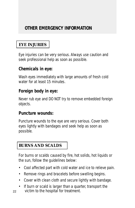# **EYE INJURIES**

Eye injuries can be very serious. Always use caution and seek professional help as soon as possible.

#### *Chemicals in eye:*

Wash eyes immediately with large amounts of fresh cold water for at least 15 minutes.

## *Foreign body in eye:*

Never rub eye and DO NOT try to remove embedded foreign objects.

#### *Puncture wounds:*

Puncture wounds to the eye are very serious. Cover both eyes lightly with bandages and seek help as soon as possible.

## **BURNS AND SCALDS**

For burns or scalds caused by fire, hot solids, hot liquids or the sun, follow the guidelines below:

- Cool affected part with cold water and ice to relieve pain.
- Remove rings and bracelets before swelling begins.
- Cover with clean cloth and secure lightly with bandage.
- If burn or scald is larger than a quarter, transport the 22 victim to the hospital for treatment.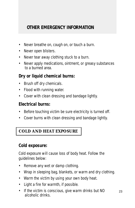- Never breathe on, cough on, or touch a burn.
- Never open blisters.
- Never tear away clothing stuck to a burn.
- Never apply medications, ointment, or greasy substances to a burned area.

## *Dry or liquid chemical burns:*

- Brush off dry chemicals.
- Flood with running water.
- Cover with clean dressing and bandage lightly.

## *Electrical burns:*

- Before touching victim be sure electricity is turned off.
- Cover burns with clean dressing and bandage lightly.

# **COLD AND HEAT EXPOSURE**

#### *Cold exposure:*

Cold exposure will cause loss of body heat. Follow the guidelines below:

- Remove any wet or damp clothing.
- Wrap in sleeping bag, blankets, or warm and dry clothing.
- Warm the victim by using your own body heat.
- Light a fire for warmth, if possible.
- If the victim is conscious, give warm drinks but NO alcoholic drinks.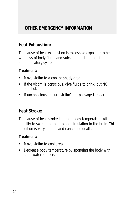## *Heat Exhaustion:*

The cause of heat exhaustion is excessive exposure to heat with loss of body fluids and subsequent straining of the heart and circulatory system.

#### **Treatment:**

- Move victim to a cool or shady area.
- If the victim is conscious, give fluids to drink, but NO alcohol.
- If unconscious, ensure victim's air passage is clear.

## *Heat Stroke:*

The cause of heat stroke is a high body temperature with the inability to sweat and poor blood circulation to the brain. This condition is very serious and can cause death.

#### **Treatment:**

- Move victim to cool area.
- Decrease body temperature by sponging the body with cold water and ice.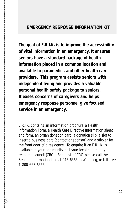#### **EMERGENCY RESPONSE INFORMATION KIT**

*The goal of E.R.I.K. is to improve the accessibility of vital information in an emergency. It ensures seniors have a standard package of health information placed in a common location and available to paramedics and other health care providers. This program assists seniors with independent living and provides a valuable personal health safety package to seniors. It eases concerns of caregivers and helps emergency response personnel give focused service in an emergency.*

E.R.I.K. contains an information brochure, a Health Information Form, a Health Care Directive Information sheet and form, an organ donation card, a donation slip, a slot to insert a business card (contact or sponsor) and a sticker for the front door of a residence. To enquire if an E.R.I.K. is available in your community, call your local community resource council (CRC). For a list of CRC, please call the Seniors Information Line at 945-6565 in Winnipeg, or toll-free 1-800-665-6565.

✃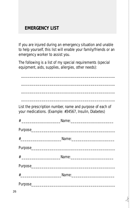# **EMERGENCY LIST**

If you are injured during an emergency situation and unable to help yourself, this list will enable your family/friends or an emergency worker to assist you.

The following is a list of my special requirements (special equipment, aids, supplies, allergies, other needs):

\_\_\_\_\_\_\_\_\_\_\_\_\_\_\_\_\_\_\_\_\_\_\_\_\_\_\_\_\_\_\_\_\_\_\_\_\_\_\_\_\_\_\_\_\_\_

\_\_\_\_\_\_\_\_\_\_\_\_\_\_\_\_\_\_\_\_\_\_\_\_\_\_\_\_\_\_\_\_\_\_\_\_\_\_\_\_\_\_\_\_\_\_

\_\_\_\_\_\_\_\_\_\_\_\_\_\_\_\_\_\_\_\_\_\_\_\_\_\_\_\_\_\_\_\_\_\_\_\_\_\_\_\_\_\_\_\_\_\_

\_\_\_\_\_\_\_\_\_\_\_\_\_\_\_\_\_\_\_\_\_\_\_\_\_\_\_\_\_\_\_\_\_\_\_\_\_\_\_\_\_\_\_\_\_\_

List the prescription number, name and purpose of each of your medications. (Example: #34567, Insulin, Diabetes)

✃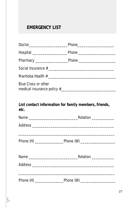# **EMERGENCY LIST**

✃

| <b>Blue Cross or other</b>                                    |  |
|---------------------------------------------------------------|--|
|                                                               |  |
| List contact information for family members, friends,<br>etc. |  |
|                                                               |  |
|                                                               |  |
|                                                               |  |
|                                                               |  |
|                                                               |  |
|                                                               |  |
|                                                               |  |
|                                                               |  |
|                                                               |  |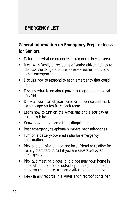# **EMERGENCY LIST**

# *General Information on Emergency Preparedness for Seniors*

- Determine what emergencies could occur in your area.
- Meet with family or residents of senior citizen homes to discuss the dangers of fire, severe weather, flood and other emergencies.
- Discuss how to respond to each emergency that could occur.
- Discuss what to do about power outages and personal injuries.
- Draw a floor plan of your home or residence and mark two escape routes from each room.
- Learn how to turn off the water, gas and electricity at main switches.
- Know how to use home fire extinguishers.
- Post emergency telephone numbers near telephones.
- Turn on a battery-powered radio for emergency information.
- Pick one out-of-area and one local friend or relative for family members to call if you are separated by an emergency.
- Pick two meeting places: a) a place near your home in case of fire; b) a place outside your neighbourhood in case you cannot return home after the emergency.
- Keep family records in a water and fireproof container.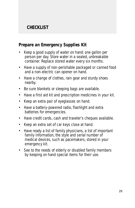# **CHECKLIST**

## *Prepare an Emergency Supplies Kit*

- Keep a good supply of water on hand: one gallon per person per day. Store water in a sealed, unbreakable container. Replace stored water every six months.
- Have a supply of non-perishable packaged or canned food and a non-electric can opener on hand.
- Have a change of clothes, rain gear and sturdy shoes nearby.
- Be sure blankets or sleeping bags are available.
- Have a first aid kit and prescription medicines in your kit.
- Keep an extra pair of eyeglasses on hand.
- Have a battery-powered radio, flashlight and extra batteries for emergencies.
- Have credit cards, cash and traveler's cheques available.
- Keep an extra set of car keys close at hand.
- Have ready a list of family physicians, a list of important family information, the style and serial number of medical devices, such as pacemakers, stored in your emergency kit.
- See to the needs of elderly or disabled family members by keeping on hand special items for their use.